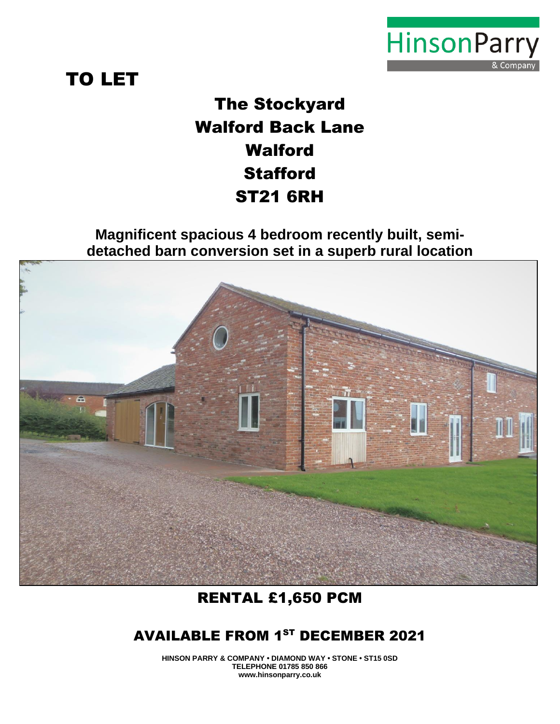

# TO LET

The Stockyard Walford Back Lane Walford **Stafford** ST21 6RH

**Magnificent spacious 4 bedroom recently built, semidetached barn conversion set in a superb rural location**



# RENTAL £1,650 PCM

# AVAILABLE FROM 1<sup>ST</sup> DECEMBER 2021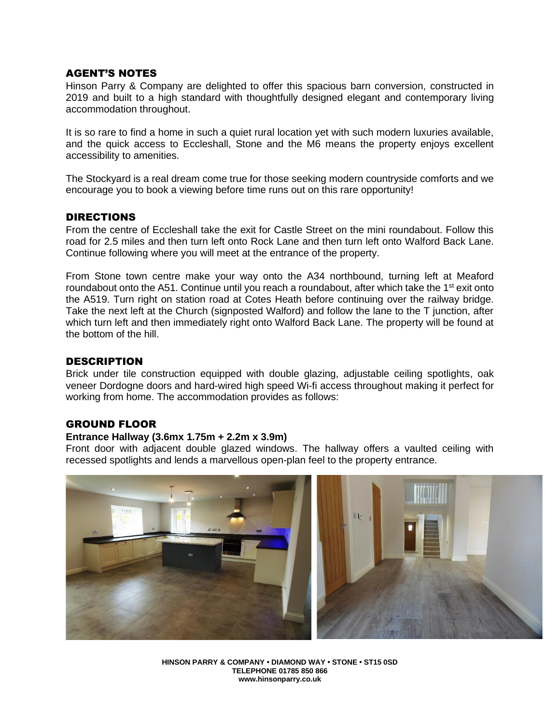### AGENT'S NOTES

Hinson Parry & Company are delighted to offer this spacious barn conversion, constructed in 2019 and built to a high standard with thoughtfully designed elegant and contemporary living accommodation throughout.

It is so rare to find a home in such a quiet rural location yet with such modern luxuries available, and the quick access to Eccleshall, Stone and the M6 means the property enjoys excellent accessibility to amenities.

The Stockyard is a real dream come true for those seeking modern countryside comforts and we encourage you to book a viewing before time runs out on this rare opportunity!

#### DIRECTIONS

From the centre of Eccleshall take the exit for Castle Street on the mini roundabout. Follow this road for 2.5 miles and then turn left onto Rock Lane and then turn left onto Walford Back Lane. Continue following where you will meet at the entrance of the property.

From Stone town centre make your way onto the A34 northbound, turning left at Meaford roundabout onto the A51. Continue until you reach a roundabout, after which take the  $1<sup>st</sup>$  exit onto the A519. Turn right on station road at Cotes Heath before continuing over the railway bridge. Take the next left at the Church (signposted Walford) and follow the lane to the T junction, after which turn left and then immediately right onto Walford Back Lane. The property will be found at the bottom of the hill.

#### DESCRIPTION

Brick under tile construction equipped with double glazing, adjustable ceiling spotlights, oak veneer Dordogne doors and hard-wired high speed Wi-fi access throughout making it perfect for working from home. The accommodation provides as follows:

# GROUND FLOOR

#### **Entrance Hallway (3.6mx 1.75m + 2.2m x 3.9m)**

Front door with adjacent double glazed windows. The hallway offers a vaulted ceiling with recessed spotlights and lends a marvellous open-plan feel to the property entrance.

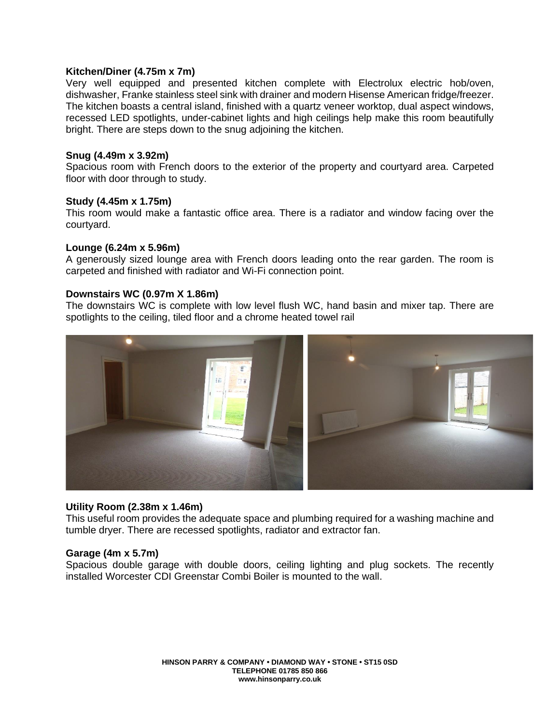#### **Kitchen/Diner (4.75m x 7m)**

Very well equipped and presented kitchen complete with Electrolux electric hob/oven, dishwasher, Franke stainless steel sink with drainer and modern Hisense American fridge/freezer. The kitchen boasts a central island, finished with a quartz veneer worktop, dual aspect windows, recessed LED spotlights, under-cabinet lights and high ceilings help make this room beautifully bright. There are steps down to the snug adjoining the kitchen.

#### **Snug (4.49m x 3.92m)**

Spacious room with French doors to the exterior of the property and courtyard area. Carpeted floor with door through to study.

#### **Study (4.45m x 1.75m)**

This room would make a fantastic office area. There is a radiator and window facing over the courtyard.

#### **Lounge (6.24m x 5.96m)**

A generously sized lounge area with French doors leading onto the rear garden. The room is carpeted and finished with radiator and Wi-Fi connection point.

#### **Downstairs WC (0.97m X 1.86m)**

The downstairs WC is complete with low level flush WC, hand basin and mixer tap. There are spotlights to the ceiling, tiled floor and a chrome heated towel rail



#### **Utility Room (2.38m x 1.46m)**

This useful room provides the adequate space and plumbing required for a washing machine and tumble dryer. There are recessed spotlights, radiator and extractor fan.

#### **Garage (4m x 5.7m)**

Spacious double garage with double doors, ceiling lighting and plug sockets. The recently installed Worcester CDI Greenstar Combi Boiler is mounted to the wall.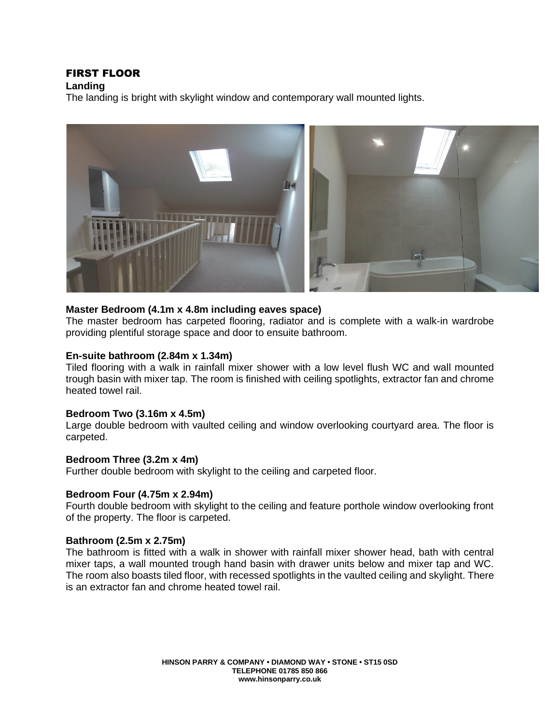# FIRST FLOOR

**Landing**

The landing is bright with skylight window and contemporary wall mounted lights.



#### **Master Bedroom (4.1m x 4.8m including eaves space)**

The master bedroom has carpeted flooring, radiator and is complete with a walk-in wardrobe providing plentiful storage space and door to ensuite bathroom.

#### **En-suite bathroom (2.84m x 1.34m)**

Tiled flooring with a walk in rainfall mixer shower with a low level flush WC and wall mounted trough basin with mixer tap. The room is finished with ceiling spotlights, extractor fan and chrome heated towel rail.

#### **Bedroom Two (3.16m x 4.5m)**

Large double bedroom with vaulted ceiling and window overlooking courtyard area. The floor is carpeted.

#### **Bedroom Three (3.2m x 4m)**

Further double bedroom with skylight to the ceiling and carpeted floor.

#### **Bedroom Four (4.75m x 2.94m)**

Fourth double bedroom with skylight to the ceiling and feature porthole window overlooking front of the property. The floor is carpeted.

# **Bathroom (2.5m x 2.75m)**

The bathroom is fitted with a walk in shower with rainfall mixer shower head, bath with central mixer taps, a wall mounted trough hand basin with drawer units below and mixer tap and WC. The room also boasts tiled floor, with recessed spotlights in the vaulted ceiling and skylight. There is an extractor fan and chrome heated towel rail.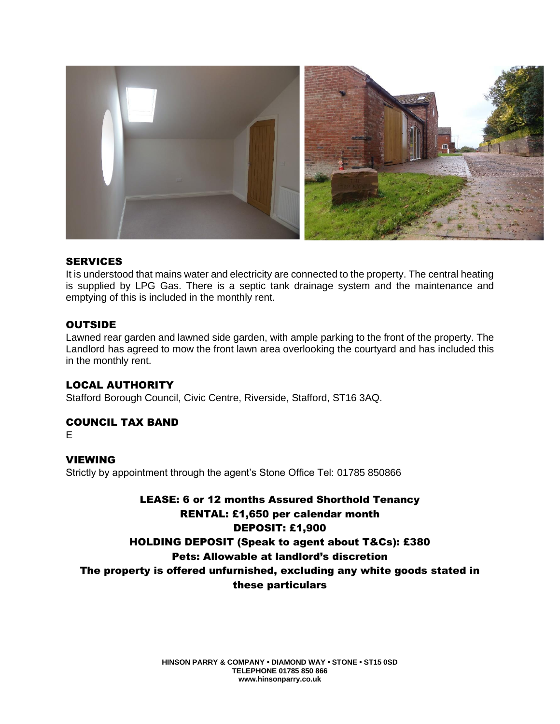

#### **SERVICES**

It is understood that mains water and electricity are connected to the property. The central heating is supplied by LPG Gas. There is a septic tank drainage system and the maintenance and emptying of this is included in the monthly rent.

# **OUTSIDE**

Lawned rear garden and lawned side garden, with ample parking to the front of the property. The Landlord has agreed to mow the front lawn area overlooking the courtyard and has included this in the monthly rent.

# LOCAL AUTHORITY

Stafford Borough Council, Civic Centre, Riverside, Stafford, ST16 3AQ.

# COUNCIL TAX BAND

E

# VIEWING

Strictly by appointment through the agent's Stone Office Tel: 01785 850866

LEASE: 6 or 12 months Assured Shorthold Tenancy RENTAL: £1,650 per calendar month DEPOSIT: £1,900 HOLDING DEPOSIT (Speak to agent about T&Cs): £380 Pets: Allowable at landlord's discretion The property is offered unfurnished, excluding any white goods stated in these particulars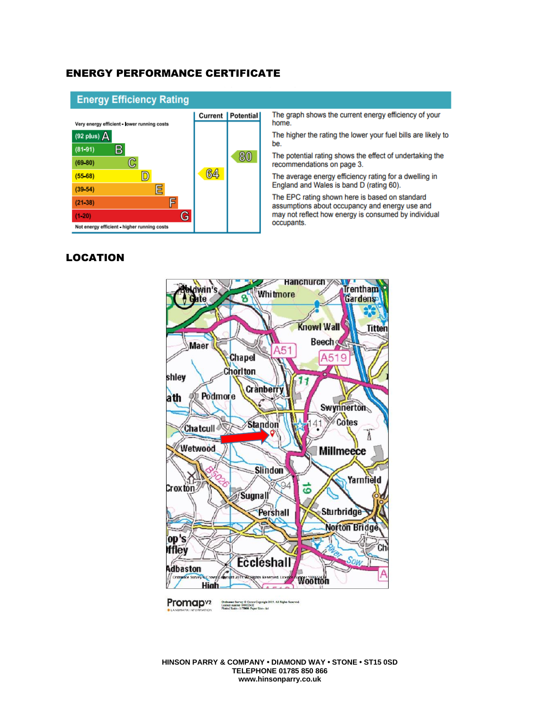#### ENERGY PERFORMANCE CERTIFICATE



The graph shows the current energy efficiency of your home.

The higher the rating the lower your fuel bills are likely to

The potential rating shows the effect of undertaking the recommendations on page 3.

The average energy efficiency rating for a dwelling in<br>England and Wales is band D (rating 60).

The EPC rating shown here is based on standard assumptions about occupancy and energy use and may not reflect how energy is consumed by individual occupants.

# LOCATION



Promap<sub>v2</sub> Ordnance Survey © Crown Copyright 2019. All Rights Reserved.<br>Licence number 100022432<br>Plotted Scale - 1:75000. Paper Size - A4